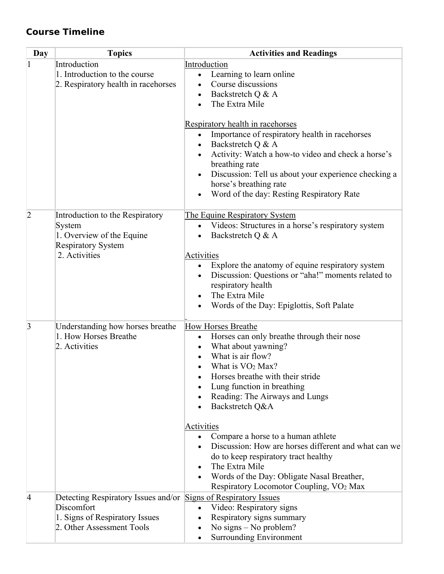## **Course Timeline**

| Day             | <b>Topics</b>                                                                                                                                | <b>Activities and Readings</b>                                                                                                                                                                                                                                                                                                                                                                                                                                                                                                                                                        |
|-----------------|----------------------------------------------------------------------------------------------------------------------------------------------|---------------------------------------------------------------------------------------------------------------------------------------------------------------------------------------------------------------------------------------------------------------------------------------------------------------------------------------------------------------------------------------------------------------------------------------------------------------------------------------------------------------------------------------------------------------------------------------|
|                 | Introduction<br>1. Introduction to the course<br>2. Respiratory health in racehorses                                                         | Introduction<br>Learning to learn online<br>$\bullet$<br>Course discussions<br>Backstretch Q & A<br>$\bullet$<br>The Extra Mile                                                                                                                                                                                                                                                                                                                                                                                                                                                       |
|                 |                                                                                                                                              | Respiratory health in racehorses<br>Importance of respiratory health in racehorses<br>$\bullet$<br>Backstretch Q & A<br>$\bullet$<br>Activity: Watch a how-to video and check a horse's<br>breathing rate<br>Discussion: Tell us about your experience checking a<br>$\bullet$<br>horse's breathing rate<br>Word of the day: Resting Respiratory Rate                                                                                                                                                                                                                                 |
| $\overline{2}$  | Introduction to the Respiratory<br>System<br>1. Overview of the Equine<br><b>Respiratory System</b><br>2. Activities                         | The Equine Respiratory System<br>Videos: Structures in a horse's respiratory system<br>$\bullet$<br>Backstretch Q & A<br>$\bullet$<br>Activities<br>Explore the anatomy of equine respiratory system<br>$\bullet$<br>Discussion: Questions or "aha!" moments related to<br>respiratory health<br>The Extra Mile<br>Words of the Day: Epiglottis, Soft Palate<br>$\bullet$                                                                                                                                                                                                             |
| $\vert 3 \vert$ | Understanding how horses breathe<br>1. How Horses Breathe<br>2. Activities                                                                   | How Horses Breathe<br>Horses can only breathe through their nose<br>$\bullet$<br>What about yawning?<br>$\bullet$<br>What is air flow?<br>What is VO <sub>2</sub> Max?<br>$\bullet$<br>Horses breathe with their stride<br>Lung function in breathing<br>Reading: The Airways and Lungs<br>Backstretch Q&A<br>Activities<br>Compare a horse to a human athlete<br>Discussion: How are horses different and what can we<br>do to keep respiratory tract healthy<br>The Extra Mile<br>Words of the Day: Obligate Nasal Breather,<br>Respiratory Locomotor Coupling, VO <sub>2</sub> Max |
| 4               | Detecting Respiratory Issues and/or Signs of Respiratory Issues<br>Discomfort<br>1. Signs of Respiratory Issues<br>2. Other Assessment Tools | Video: Respiratory signs<br>$\bullet$<br>Respiratory signs summary<br>No signs $-$ No problem?<br><b>Surrounding Environment</b>                                                                                                                                                                                                                                                                                                                                                                                                                                                      |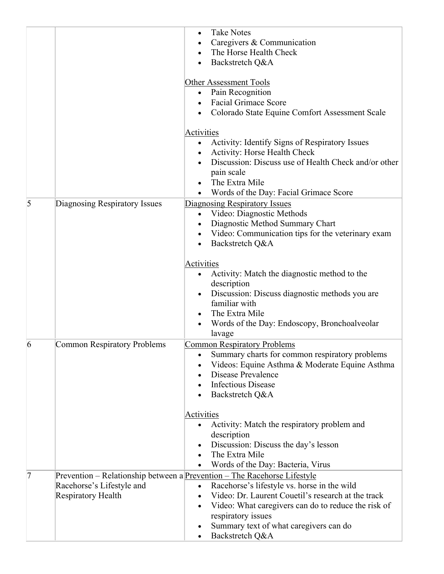|           |                                                 | <b>Take Notes</b><br>Caregivers & Communication<br>The Horse Health Check<br>Backstretch Q&A<br>$\bullet$<br>Other Assessment Tools<br>Pain Recognition<br>$\bullet$<br><b>Facial Grimace Score</b><br>Colorado State Equine Comfort Assessment Scale                                                                                                          |
|-----------|-------------------------------------------------|----------------------------------------------------------------------------------------------------------------------------------------------------------------------------------------------------------------------------------------------------------------------------------------------------------------------------------------------------------------|
|           |                                                 | <b>Activities</b><br>Activity: Identify Signs of Respiratory Issues<br>$\bullet$<br>Activity: Horse Health Check<br>$\bullet$<br>Discussion: Discuss use of Health Check and/or other<br>pain scale<br>The Extra Mile<br>Words of the Day: Facial Grimace Score<br>$\bullet$                                                                                   |
| $\vert$ 5 | Diagnosing Respiratory Issues                   | <b>Diagnosing Respiratory Issues</b><br>Video: Diagnostic Methods<br>$\bullet$<br>Diagnostic Method Summary Chart<br>Video: Communication tips for the veterinary exam<br>Backstretch Q&A<br>$\bullet$                                                                                                                                                         |
|           |                                                 | Activities<br>Activity: Match the diagnostic method to the<br>description<br>Discussion: Discuss diagnostic methods you are<br>$\bullet$<br>familiar with<br>The Extra Mile<br>$\bullet$<br>Words of the Day: Endoscopy, Bronchoalveolar<br>lavage                                                                                                             |
| 6         | <b>Common Respiratory Problems</b>              | <b>Common Respiratory Problems</b><br>Summary charts for common respiratory problems<br>Videos: Equine Asthma & Moderate Equine Asthma<br>Disease Prevalence<br><b>Infectious Disease</b><br>Backstretch Q&A                                                                                                                                                   |
|           |                                                 | Activities<br>Activity: Match the respiratory problem and<br>description<br>Discussion: Discuss the day's lesson<br>The Extra Mile<br>Words of the Day: Bacteria, Virus                                                                                                                                                                                        |
| 7         | Racehorse's Lifestyle and<br>Respiratory Health | Prevention – Relationship between a Prevention – The Racehorse Lifestyle<br>Racehorse's lifestyle vs. horse in the wild<br>$\bullet$<br>Video: Dr. Laurent Couetil's research at the track<br>$\bullet$<br>Video: What caregivers can do to reduce the risk of<br>$\bullet$<br>respiratory issues<br>Summary text of what caregivers can do<br>Backstretch Q&A |